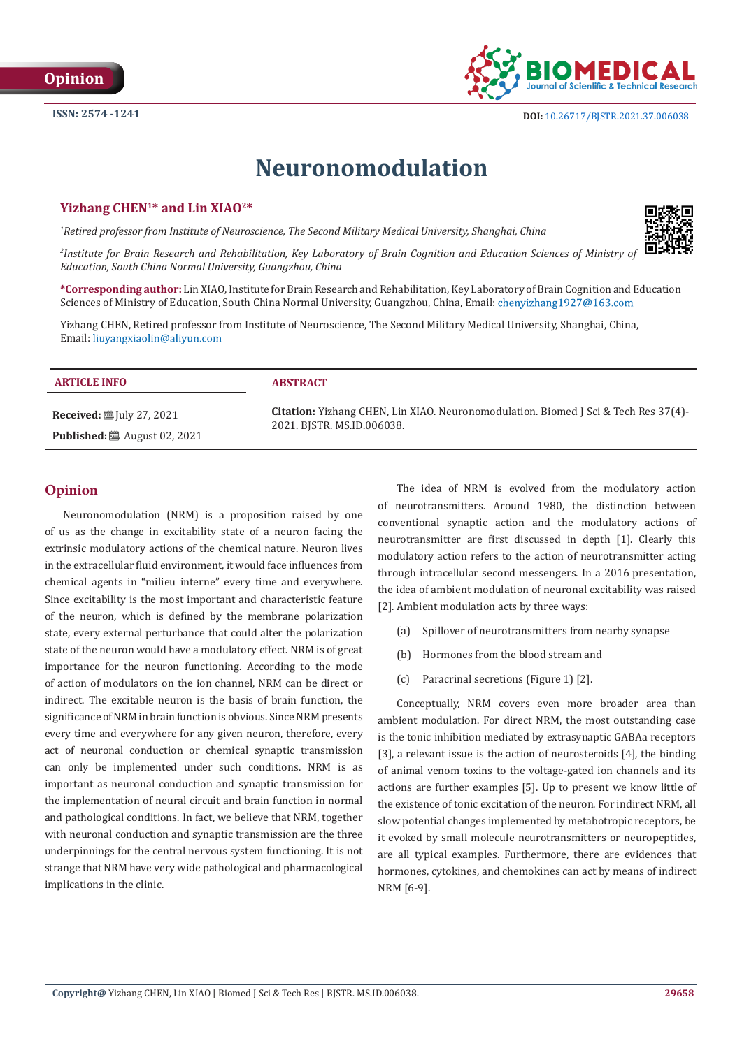

# **Neuronomodulation**

# **Yizhang CHEN1\* and Lin XIAO2\***

*1 Retired professor from Institute of Neuroscience, The Second Military Medical University, Shanghai, China*



**\*Corresponding author:** Lin XIAO, Institute for Brain Research and Rehabilitation, Key Laboratory of Brain Cognition and Education Sciences of Ministry of Education, South China Normal University, Guangzhou, China, Email: chenyizhang1927@163.com

Yizhang CHEN, Retired professor from Institute of Neuroscience, The Second Military Medical University, Shanghai, China, Email: liuyangxiaolin@aliyun.com

## **ARTICLE INFO ABSTRACT Citation:** Yizhang CHEN, Lin XIAO. Neuronomodulation. Biomed J Sci & Tech Res 37(4)- 2021. BJSTR. MS.ID.006038. **Received:** July 27, 2021 **Published:** ■ August 02, 2021

# **Opinion**

Neuronomodulation (NRM) is a proposition raised by one of us as the change in excitability state of a neuron facing the extrinsic modulatory actions of the chemical nature. Neuron lives in the extracellular fluid environment, it would face influences from chemical agents in "milieu interne" every time and everywhere. Since excitability is the most important and characteristic feature of the neuron, which is defined by the membrane polarization state, every external perturbance that could alter the polarization state of the neuron would have a modulatory effect. NRM is of great importance for the neuron functioning. According to the mode of action of modulators on the ion channel, NRM can be direct or indirect. The excitable neuron is the basis of brain function, the significance of NRM in brain function is obvious. Since NRM presents every time and everywhere for any given neuron, therefore, every act of neuronal conduction or chemical synaptic transmission can only be implemented under such conditions. NRM is as important as neuronal conduction and synaptic transmission for the implementation of neural circuit and brain function in normal and pathological conditions. In fact, we believe that NRM, together with neuronal conduction and synaptic transmission are the three underpinnings for the central nervous system functioning. It is not strange that NRM have very wide pathological and pharmacological implications in the clinic.

The idea of NRM is evolved from the modulatory action of neurotransmitters. Around 1980, the distinction between conventional synaptic action and the modulatory actions of neurotransmitter are first discussed in depth [1]. Clearly this modulatory action refers to the action of neurotransmitter acting through intracellular second messengers. In a 2016 presentation, the idea of ambient modulation of neuronal excitability was raised [2]. Ambient modulation acts by three ways:

- (a) Spillover of neurotransmitters from nearby synapse
- (b) Hormones from the blood stream and
- (c) Paracrinal secretions (Figure 1) [2].

Conceptually, NRM covers even more broader area than ambient modulation. For direct NRM, the most outstanding case is the tonic inhibition mediated by extrasynaptic GABAa receptors [3], a relevant issue is the action of neurosteroids [4], the binding of animal venom toxins to the voltage-gated ion channels and its actions are further examples [5]. Up to present we know little of the existence of tonic excitation of the neuron. For indirect NRM, all slow potential changes implemented by metabotropic receptors, be it evoked by small molecule neurotransmitters or neuropeptides, are all typical examples. Furthermore, there are evidences that hormones, cytokines, and chemokines can act by means of indirect NRM [6-9].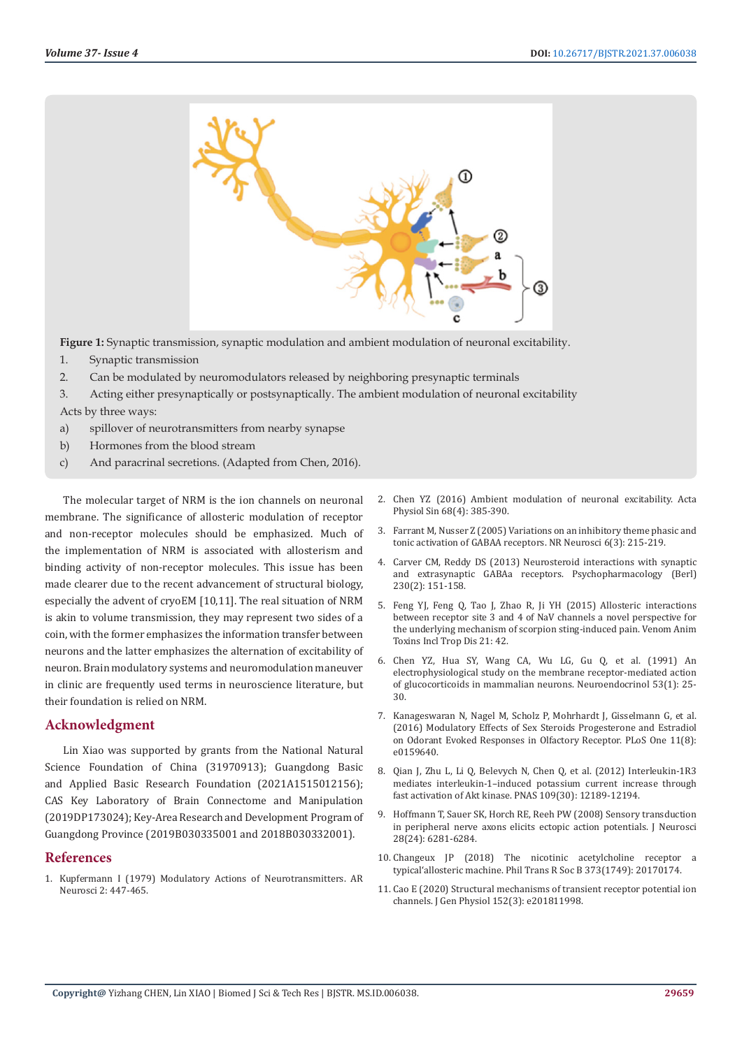

**Figure 1:** Synaptic transmission, synaptic modulation and ambient modulation of neuronal excitability.

- 1. Synaptic transmission
- 2. Can be modulated by neuromodulators released by neighboring presynaptic terminals
- 3. Acting either presynaptically or postsynaptically. The ambient modulation of neuronal excitability

Acts by three ways:

- a) spillover of neurotransmitters from nearby synapse
- b) Hormones from the blood stream
- c) And paracrinal secretions. (Adapted from Chen, 2016).

The molecular target of NRM is the ion channels on neuronal membrane. The significance of allosteric modulation of receptor and non-receptor molecules should be emphasized. Much of the implementation of NRM is associated with allosterism and binding activity of non-receptor molecules. This issue has been made clearer due to the recent advancement of structural biology, especially the advent of cryoEM [10,11]. The real situation of NRM is akin to volume transmission, they may represent two sides of a coin, with the former emphasizes the information transfer between neurons and the latter emphasizes the alternation of excitability of neuron. Brain modulatory systems and neuromodulation maneuver in clinic are frequently used terms in neuroscience literature, but their foundation is relied on NRM.

#### **Acknowledgment**

Lin Xiao was supported by grants from the National Natural Science Foundation of China (31970913); Guangdong Basic and Applied Basic Research Foundation (2021A1515012156); CAS Key Laboratory of Brain Connectome and Manipulation (2019DP173024); Key-Area Research and Development Program of Guangdong Province (2019B030335001 and 2018B030332001).

#### **References**

1. [Kupfermann I \(1979\) Modulatory Actions of Neurotransmitters. AR](https://pubmed.ncbi.nlm.nih.gov/44174/)  [Neurosci 2: 447-465.](https://pubmed.ncbi.nlm.nih.gov/44174/)

- 2. [Chen YZ \(2016\) Ambient modulation of neuronal excitability. Acta](https://pubmed.ncbi.nlm.nih.gov/27546499/) [Physiol Sin 68\(4\): 385-390.](https://pubmed.ncbi.nlm.nih.gov/27546499/)
- 3. [Farrant M, Nusser Z \(2005\) Variations on an inhibitory theme phasic and](https://pubmed.ncbi.nlm.nih.gov/15738957/) [tonic activation of GABAA receptors. NR Neurosci 6\(3\): 215-219.](https://pubmed.ncbi.nlm.nih.gov/15738957/)
- 4. [Carver CM, Reddy DS \(2013\) Neurosteroid interactions with synaptic](https://pubmed.ncbi.nlm.nih.gov/24071826/) [and extrasynaptic GABAa receptors. Psychopharmacology \(Berl\)](https://pubmed.ncbi.nlm.nih.gov/24071826/) [230\(2\): 151-158.](https://pubmed.ncbi.nlm.nih.gov/24071826/)
- 5. [Feng YJ, Feng Q, Tao J, Zhao R, Ji YH \(2015\) Allosteric interactions](https://pubmed.ncbi.nlm.nih.gov/26491429/) [between receptor site 3 and 4 of NaV channels a novel perspective for](https://pubmed.ncbi.nlm.nih.gov/26491429/) [the underlying mechanism of scorpion sting-induced pain. Venom Anim](https://pubmed.ncbi.nlm.nih.gov/26491429/) [Toxins Incl Trop Dis 21: 42.](https://pubmed.ncbi.nlm.nih.gov/26491429/)
- 6. [Chen YZ, Hua SY, Wang CA, Wu LG, Gu Q, et al. \(1991\) An](https://pubmed.ncbi.nlm.nih.gov/1901388/) [electrophysiological study on the membrane receptor-mediated action](https://pubmed.ncbi.nlm.nih.gov/1901388/) [of glucocorticoids in mammalian neurons. Neuroendocrinol 53\(1\): 25-](https://pubmed.ncbi.nlm.nih.gov/1901388/) [30.](https://pubmed.ncbi.nlm.nih.gov/1901388/)
- 7. [Kanageswaran N, Nagel M, Scholz P, Mohrhardt J, Gisselmann G, et al.](https://pubmed.ncbi.nlm.nih.gov/27494699/) [\(2016\) Modulatory Effects of Sex Steroids Progesterone and Estradiol](https://pubmed.ncbi.nlm.nih.gov/27494699/) [on Odorant Evoked Responses in Olfactory Receptor. PLoS One 11\(8\):](https://pubmed.ncbi.nlm.nih.gov/27494699/) [e0159640.](https://pubmed.ncbi.nlm.nih.gov/27494699/)
- 8. [Qian J, Zhu L, Li Q, Belevych N, Chen Q, et al. \(2012\) Interleukin-1R3](https://pubmed.ncbi.nlm.nih.gov/22778412/) [mediates interleukin-1–induced potassium current increase through](https://pubmed.ncbi.nlm.nih.gov/22778412/) [fast activation of Akt kinase. PNAS 109\(30\): 12189-12194.](https://pubmed.ncbi.nlm.nih.gov/22778412/)
- 9. [Hoffmann T, Sauer SK, Horch RE, Reeh PW \(2008\) Sensory transduction](https://pubmed.ncbi.nlm.nih.gov/18550771/) [in peripheral nerve axons elicits ectopic action potentials. J Neurosci](https://pubmed.ncbi.nlm.nih.gov/18550771/) [28\(24\): 6281-6284.](https://pubmed.ncbi.nlm.nih.gov/18550771/)
- 10. [Changeux JP \(2018\) The nicotinic acetylcholine receptor a](https://pubmed.ncbi.nlm.nih.gov/29735728/) [typical'allosteric machine. Phil Trans R Soc B 373\(1749\): 20170174.](https://pubmed.ncbi.nlm.nih.gov/29735728/)
- 11. [Cao E \(2020\) Structural mechanisms of transient receptor potential ion](https://www.researchgate.net/publication/339628276_Structural_mechanisms_of_transient_receptor_potential_ion_channels) [channels. J Gen Physiol 152\(3\): e201811998.](https://www.researchgate.net/publication/339628276_Structural_mechanisms_of_transient_receptor_potential_ion_channels)